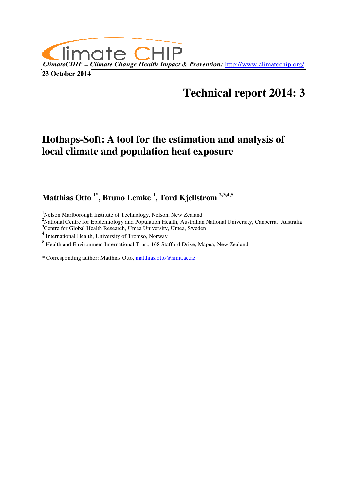

# **Technical report 2014: 3**

# **Hothaps-Soft: A tool for the estimation and analysis of local climate and population heat exposure**

**Matthias Otto 1\*, Bruno Lemke <sup>1</sup> , Tord Kjellstrom 2,3,4,5** 

**<sup>1</sup>**Nelson Marlborough Institute of Technology, Nelson, New Zealand

**<sup>2</sup>**National Centre for Epidemiology and Population Health, Australian National University, Canberra, Australia

<sup>3</sup>Centre for Global Health Research, Umea University, Umea, Sweden 4<br><sup>4</sup> International Health, University of Tromso, Norway

**5** Health and Environment International Trust, 168 Stafford Drive, Mapua, New Zealand

\* Corresponding author: Matthias Otto, matthias.otto@nmit.ac.nz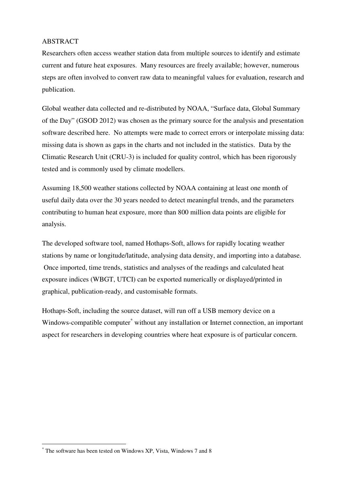#### ABSTRACT

Researchers often access weather station data from multiple sources to identify and estimate current and future heat exposures. Many resources are freely available; however, numerous steps are often involved to convert raw data to meaningful values for evaluation, research and publication.

Global weather data collected and re-distributed by NOAA, "Surface data, Global Summary of the Day" (GSOD 2012) was chosen as the primary source for the analysis and presentation software described here. No attempts were made to correct errors or interpolate missing data: missing data is shown as gaps in the charts and not included in the statistics. Data by the Climatic Research Unit (CRU-3) is included for quality control, which has been rigorously tested and is commonly used by climate modellers.

Assuming 18,500 weather stations collected by NOAA containing at least one month of useful daily data over the 30 years needed to detect meaningful trends, and the parameters contributing to human heat exposure, more than 800 million data points are eligible for analysis.

The developed software tool, named Hothaps-Soft, allows for rapidly locating weather stations by name or longitude/latitude, analysing data density, and importing into a database. Once imported, time trends, statistics and analyses of the readings and calculated heat exposure indices (WBGT, UTCI) can be exported numerically or displayed/printed in graphical, publication-ready, and customisable formats.

Hothaps-Soft, including the source dataset, will run off a USB memory device on a Windows-compatible computer<sup>\*</sup> without any installation or Internet connection, an important aspect for researchers in developing countries where heat exposure is of particular concern.

 $\overline{a}$ 

<sup>\*</sup> The software has been tested on Windows XP, Vista, Windows 7 and 8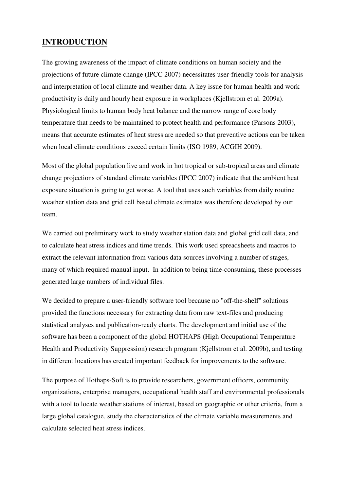### **INTRODUCTION**

The growing awareness of the impact of climate conditions on human society and the projections of future climate change (IPCC 2007) necessitates user-friendly tools for analysis and interpretation of local climate and weather data. A key issue for human health and work productivity is daily and hourly heat exposure in workplaces (Kjellstrom et al. 2009a). Physiological limits to human body heat balance and the narrow range of core body temperature that needs to be maintained to protect health and performance (Parsons 2003), means that accurate estimates of heat stress are needed so that preventive actions can be taken when local climate conditions exceed certain limits (ISO 1989, ACGIH 2009).

Most of the global population live and work in hot tropical or sub-tropical areas and climate change projections of standard climate variables (IPCC 2007) indicate that the ambient heat exposure situation is going to get worse. A tool that uses such variables from daily routine weather station data and grid cell based climate estimates was therefore developed by our team.

We carried out preliminary work to study weather station data and global grid cell data, and to calculate heat stress indices and time trends. This work used spreadsheets and macros to extract the relevant information from various data sources involving a number of stages, many of which required manual input. In addition to being time-consuming, these processes generated large numbers of individual files.

We decided to prepare a user-friendly software tool because no "off-the-shelf" solutions provided the functions necessary for extracting data from raw text-files and producing statistical analyses and publication-ready charts. The development and initial use of the software has been a component of the global HOTHAPS (High Occupational Temperature Health and Productivity Suppression) research program (Kjellstrom et al. 2009b), and testing in different locations has created important feedback for improvements to the software.

The purpose of Hothaps-Soft is to provide researchers, government officers, community organizations, enterprise managers, occupational health staff and environmental professionals with a tool to locate weather stations of interest, based on geographic or other criteria, from a large global catalogue, study the characteristics of the climate variable measurements and calculate selected heat stress indices.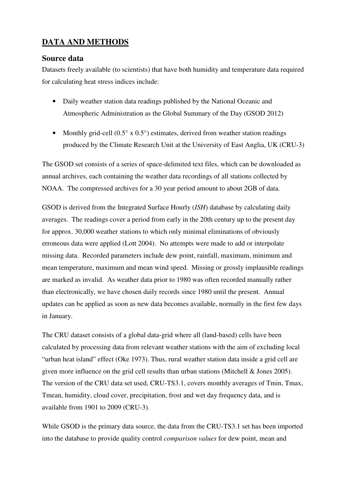# **DATA AND METHODS**

### **Source data**

Datasets freely available (to scientists) that have both humidity and temperature data required for calculating heat stress indices include:

- Daily weather station data readings published by the National Oceanic and Atmospheric Administration as the Global Summary of the Day (GSOD 2012)
- Monthly grid-cell  $(0.5^{\circ} \times 0.5^{\circ})$  estimates, derived from weather station readings produced by the Climate Research Unit at the University of East Anglia, UK (CRU-3)

The GSOD set consists of a series of space-delimited text files, which can be downloaded as annual archives, each containing the weather data recordings of all stations collected by NOAA. The compressed archives for a 30 year period amount to about 2GB of data.

GSOD is derived from the Integrated Surface Hourly (*ISH*) database by calculating daily averages. The readings cover a period from early in the 20th century up to the present day for approx. 30,000 weather stations to which only minimal eliminations of obviously erroneous data were applied (Lott 2004). No attempts were made to add or interpolate missing data. Recorded parameters include dew point, rainfall, maximum, minimum and mean temperature, maximum and mean wind speed. Missing or grossly implausible readings are marked as invalid. As weather data prior to 1980 was often recorded manually rather than electronically, we have chosen daily records since 1980 until the present. Annual updates can be applied as soon as new data becomes available, normally in the first few days in January.

The CRU dataset consists of a global data-grid where all (land-based) cells have been calculated by processing data from relevant weather stations with the aim of excluding local "urban heat island" effect (Oke 1973). Thus, rural weather station data inside a grid cell are given more influence on the grid cell results than urban stations (Mitchell & Jones 2005). The version of the CRU data set used, CRU-TS3.1, covers monthly averages of Tmin, Tmax, Tmean, humidity, cloud cover, precipitation, frost and wet day frequency data, and is available from 1901 to 2009 (CRU-3).

While GSOD is the primary data source, the data from the CRU-TS3.1 set has been imported into the database to provide quality control *comparison values* for dew point, mean and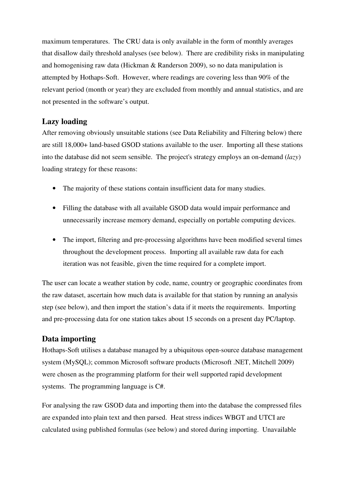maximum temperatures. The CRU data is only available in the form of monthly averages that disallow daily threshold analyses (see below). There are credibility risks in manipulating and homogenising raw data (Hickman & Randerson 2009), so no data manipulation is attempted by Hothaps-Soft. However, where readings are covering less than 90% of the relevant period (month or year) they are excluded from monthly and annual statistics, and are not presented in the software's output.

### **Lazy loading**

After removing obviously unsuitable stations (see Data Reliability and Filtering below) there are still 18,000+ land-based GSOD stations available to the user. Importing all these stations into the database did not seem sensible. The project's strategy employs an on-demand (*lazy*) loading strategy for these reasons:

- The majority of these stations contain insufficient data for many studies.
- Filling the database with all available GSOD data would impair performance and unnecessarily increase memory demand, especially on portable computing devices.
- The import, filtering and pre-processing algorithms have been modified several times throughout the development process. Importing all available raw data for each iteration was not feasible, given the time required for a complete import.

The user can locate a weather station by code, name, country or geographic coordinates from the raw dataset, ascertain how much data is available for that station by running an analysis step (see below), and then import the station's data if it meets the requirements. Importing and pre-processing data for one station takes about 15 seconds on a present day PC/laptop.

# **Data importing**

Hothaps-Soft utilises a database managed by a ubiquitous open-source database management system (MySQL); common Microsoft software products (Microsoft .NET, Mitchell 2009) were chosen as the programming platform for their well supported rapid development systems. The programming language is C#.

For analysing the raw GSOD data and importing them into the database the compressed files are expanded into plain text and then parsed. Heat stress indices WBGT and UTCI are calculated using published formulas (see below) and stored during importing. Unavailable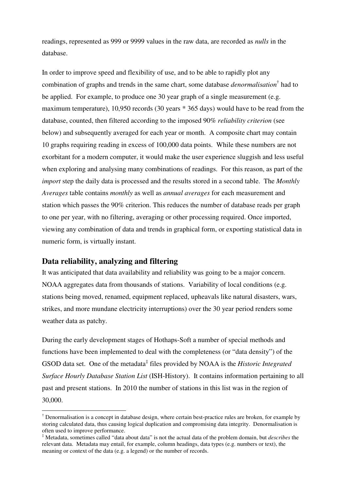readings, represented as 999 or 9999 values in the raw data, are recorded as *nulls* in the database.

In order to improve speed and flexibility of use, and to be able to rapidly plot any combination of graphs and trends in the same chart, some database *denormalisation*† had to be applied. For example, to produce one 30 year graph of a single measurement (e.g. maximum temperature), 10,950 records (30 years \* 365 days) would have to be read from the database, counted, then filtered according to the imposed 90% *reliability criterion* (see below) and subsequently averaged for each year or month. A composite chart may contain 10 graphs requiring reading in excess of 100,000 data points. While these numbers are not exorbitant for a modern computer, it would make the user experience sluggish and less useful when exploring and analysing many combinations of readings. For this reason, as part of the *import* step the daily data is processed and the results stored in a second table. The *Monthly Averages* table contains *monthly* as well as *annual averages* for each measurement and station which passes the 90% criterion. This reduces the number of database reads per graph to one per year, with no filtering, averaging or other processing required. Once imported, viewing any combination of data and trends in graphical form, or exporting statistical data in numeric form, is virtually instant.

### **Data reliability, analyzing and filtering**

 $\overline{a}$ 

It was anticipated that data availability and reliability was going to be a major concern. NOAA aggregates data from thousands of stations. Variability of local conditions (e.g. stations being moved, renamed, equipment replaced, upheavals like natural disasters, wars, strikes, and more mundane electricity interruptions) over the 30 year period renders some weather data as patchy.

During the early development stages of Hothaps-Soft a number of special methods and functions have been implemented to deal with the completeness (or "data density") of the GSOD data set. One of the metadata<sup>‡</sup> files provided by NOAA is the *Historic Integrated Surface Hourly Database Station List* (ISH-History). It contains information pertaining to all past and present stations. In 2010 the number of stations in this list was in the region of 30,000.

<sup>&</sup>lt;sup>†</sup> Denormalisation is a concept in database design, where certain best-practice rules are broken, for example by storing calculated data, thus causing logical duplication and compromising data integrity. Denormalisation is often used to improve performance.

<sup>‡</sup> Metadata, sometimes called "data about data" is not the actual data of the problem domain, but *describes* the relevant data. Metadata may entail, for example, column headings, data types (e.g. numbers or text), the meaning or context of the data (e.g. a legend) or the number of records.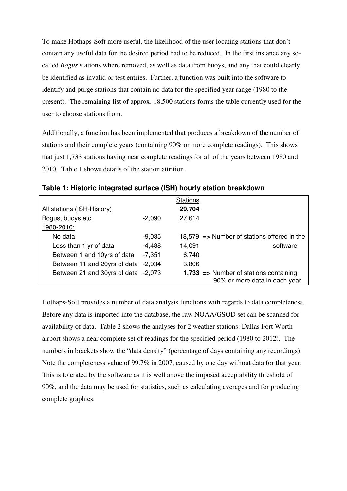To make Hothaps-Soft more useful, the likelihood of the user locating stations that don't contain any useful data for the desired period had to be reduced. In the first instance any socalled *Bogus* stations where removed, as well as data from buoys, and any that could clearly be identified as invalid or test entries. Further, a function was built into the software to identify and purge stations that contain no data for the specified year range (1980 to the present). The remaining list of approx. 18,500 stations forms the table currently used for the user to choose stations from.

Additionally, a function has been implemented that produces a breakdown of the number of stations and their complete years (containing 90% or more complete readings). This shows that just 1,733 stations having near complete readings for all of the years between 1980 and 2010. Table 1 shows details of the station attrition.

|                                     |          | <b>Stations</b> |                                                        |
|-------------------------------------|----------|-----------------|--------------------------------------------------------|
| All stations (ISH-History)          |          | 29,704          |                                                        |
| Bogus, buoys etc.                   | $-2.090$ | 27,614          |                                                        |
| 1980-2010:                          |          |                 |                                                        |
| No data                             | $-9.035$ |                 | 18,579 $\Rightarrow$ Number of stations offered in the |
| Less than 1 yr of data              | $-4,488$ | 14,091          | software                                               |
| Between 1 and 10yrs of data         | $-7,351$ | 6,740           |                                                        |
| Between 11 and 20yrs of data        | $-2.934$ | 3,806           |                                                        |
| Between 21 and 30yrs of data -2,073 |          |                 | $1,733$ => Number of stations containing               |
|                                     |          |                 | 90% or more data in each year                          |

**Table 1: Historic integrated surface (ISH) hourly station breakdown** 

Hothaps-Soft provides a number of data analysis functions with regards to data completeness. Before any data is imported into the database, the raw NOAA/GSOD set can be scanned for availability of data. Table 2 shows the analyses for 2 weather stations: Dallas Fort Worth airport shows a near complete set of readings for the specified period (1980 to 2012). The numbers in brackets show the "data density" (percentage of days containing any recordings). Note the completeness value of 99.7% in 2007, caused by one day without data for that year. This is tolerated by the software as it is well above the imposed acceptability threshold of 90%, and the data may be used for statistics, such as calculating averages and for producing complete graphics.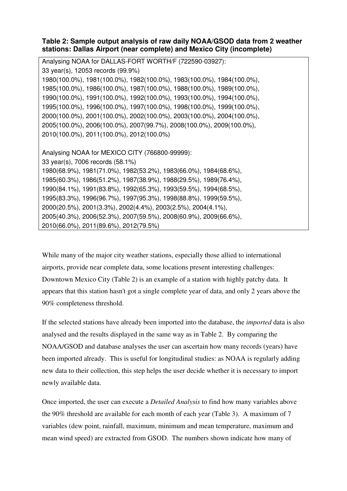### **Table 2: Sample output analysis of raw daily NOAA/GSOD data from 2 weather stations: Dallas Airport (near complete) and Mexico City (incomplete)**

| Analysing NOAA for DALLAS-FORT WORTH/F (722590-03927):                |
|-----------------------------------------------------------------------|
| 33 year(s), 12053 records (99.9%)                                     |
| 1980(100.0%), 1981(100.0%), 1982(100.0%), 1983(100.0%), 1984(100.0%), |
| 1985(100.0%), 1986(100.0%), 1987(100.0%), 1988(100.0%), 1989(100.0%), |
| 1990(100.0%), 1991(100.0%), 1992(100.0%), 1993(100.0%), 1994(100.0%), |
| 1995(100.0%), 1996(100.0%), 1997(100.0%), 1998(100.0%), 1999(100.0%), |
| 2000(100.0%), 2001(100.0%), 2002(100.0%), 2003(100.0%), 2004(100.0%), |
| 2005(100.0%), 2006(100.0%), 2007(99.7%), 2008(100.0%), 2009(100.0%),  |
| 2010(100.0%), 2011(100.0%), 2012(100.0%)                              |
|                                                                       |
| Analysing NOAA for MEXICO CITY (766800-99999):                        |
| 33 year(s), 7006 records (58.1%)                                      |
| 1980(68.9%), 1981(71.0%), 1982(53.2%), 1983(66.0%), 1984(68.6%),      |
| 1985(60.3%), 1986(51.2%), 1987(38.9%), 1988(29.5%), 1989(76.4%),      |
| 1990(84.1%), 1991(83.8%), 1992(65.3%), 1993(59.5%), 1994(68.5%),      |
| 1995(83.3%), 1996(96.7%), 1997(95.3%), 1998(88.8%), 1999(59.5%),      |
| 2000(20.5%), 2001(3.3%), 2002(4.4%), 2003(2.5%), 2004(4.1%),          |
| 2005(40.3%), 2006(52.3%), 2007(59.5%), 2008(60.9%), 2009(66.6%),      |
| 2010(66.0%), 2011(89.6%), 2012(79.5%)                                 |

While many of the major city weather stations, especially those allied to international airports, provide near complete data, some locations present interesting challenges: Downtown Mexico City (Table 2) is an example of a station with highly patchy data. It appears that this station hasn't got a single complete year of data, and only 2 years above the 90% completeness threshold.

If the selected stations have already been imported into the database, the *imported* data is also analysed and the results displayed in the same way as in Table 2. By comparing the NOAA/GSOD and database analyses the user can ascertain how many records (years) have been imported already. This is useful for longitudinal studies: as NOAA is regularly adding new data to their collection, this step helps the user decide whether it is necessary to import newly available data.

Once imported, the user can execute a *Detailed Analysis* to find how many variables above the 90% threshold are available for each month of each year (Table 3). A maximum of 7 variables (dew point, rainfall, maximum, minimum and mean temperature, maximum and mean wind speed) are extracted from GSOD. The numbers shown indicate how many of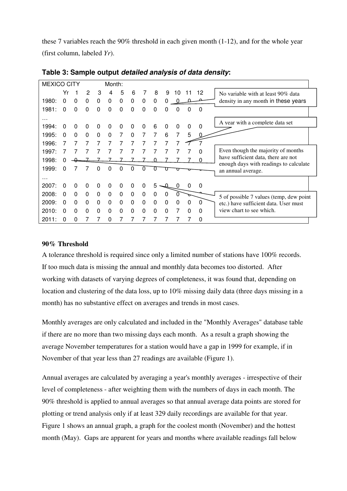these 7 variables reach the 90% threshold in each given month (1-12), and for the whole year (first column, labeled *Yr*).

| <b>MEXICO CITY</b> |              |          |          |          | Month:   |          |   |          |   |          |          |          |          |                                                              |
|--------------------|--------------|----------|----------|----------|----------|----------|---|----------|---|----------|----------|----------|----------|--------------------------------------------------------------|
|                    | Yr           |          | 2        | 3        | 4        | 5        | 6 | 7        | 8 | 9        | 10       | 11       | 12       | No variable with at least 90% data                           |
| 1980:              | $\Omega$     | $\Omega$ | $\Omega$ | $\Omega$ | $\Omega$ | 0        | 0 | 0        | 0 | O        |          |          |          | density in any month in these years                          |
| 1981:              | $\Omega$     | $\Omega$ | $\Omega$ | $\Omega$ | $\Omega$ | $\Omega$ | 0 | 0        | 0 | $\Omega$ | 0        | 0        | 0        |                                                              |
| .                  |              |          |          |          |          |          |   |          |   |          |          |          |          | A year with a complete data set                              |
| 1994:              | 0            | 0        | 0        | 0        | 0        | 0        | 0 | 0        | 6 | 0        | 0        | $\Omega$ | $\Omega$ |                                                              |
| 1995:              | <sup>0</sup> | $\Omega$ | $\Omega$ | $\Omega$ | $\Omega$ | 7        | 0 | 7        | 7 | 6        | 7        | 5        |          |                                                              |
| 1996:              |              |          |          | 7        |          | 7        | 7 | 7        |   |          |          |          |          |                                                              |
| 1997:              |              |          |          |          |          |          |   |          |   |          |          |          | $\Omega$ | Even though the majority of months                           |
| 1998:              |              |          |          |          |          |          |   |          |   |          |          |          | 0        | have sufficient data, there are not                          |
| 1999:              | <sup>0</sup> |          |          | O        | ი        | ი        | O | 0        |   |          |          |          |          | enough days with readings to calculate<br>an annual average. |
| .                  |              |          |          |          |          |          |   |          |   |          |          |          |          |                                                              |
| 2007:              | $\Omega$     | 0        | 0        | 0        | 0        | 0        | 0 | 0        | 5 |          | 0        | 0        | 0        |                                                              |
| 2008:              | $\Omega$     | $\Omega$ | $\Omega$ | $\Omega$ | $\Omega$ | $\Omega$ | 0 | $\Omega$ | 0 | 0        |          |          |          | 5 of possible 7 values (temp, dew point                      |
| 2009:              | $\Omega$     | $\Omega$ | 0        | $\Omega$ | $\Omega$ | $\Omega$ | 0 | 0        | 0 | 0        | $\Omega$ | $\Omega$ | $\Omega$ | etc.) have sufficient data. User must                        |
| 2010:              | <sup>0</sup> | $\Omega$ | $\Omega$ | $\Omega$ | 0        | $\Omega$ | 0 | 0        | 0 | 0        |          | $\Omega$ | $\Omega$ | view chart to see which.                                     |
| 2011:              | <sup>0</sup> | $\Omega$ |          |          | 0        |          |   |          |   |          |          |          | 0        |                                                              |

**Table 3: Sample output detailed analysis of data density:** 

#### **90% Threshold**

A tolerance threshold is required since only a limited number of stations have 100% records. If too much data is missing the annual and monthly data becomes too distorted. After working with datasets of varying degrees of completeness, it was found that, depending on location and clustering of the data loss, up to 10% missing daily data (three days missing in a month) has no substantive effect on averages and trends in most cases.

Monthly averages are only calculated and included in the "Monthly Averages" database table if there are no more than two missing days each month. As a result a graph showing the average November temperatures for a station would have a gap in 1999 for example, if in November of that year less than 27 readings are available (Figure 1).

Annual averages are calculated by averaging a year's monthly averages - irrespective of their level of completeness - after weighting them with the numbers of days in each month. The 90% threshold is applied to annual averages so that annual average data points are stored for plotting or trend analysis only if at least 329 daily recordings are available for that year. Figure 1 shows an annual graph, a graph for the coolest month (November) and the hottest month (May). Gaps are apparent for years and months where available readings fall below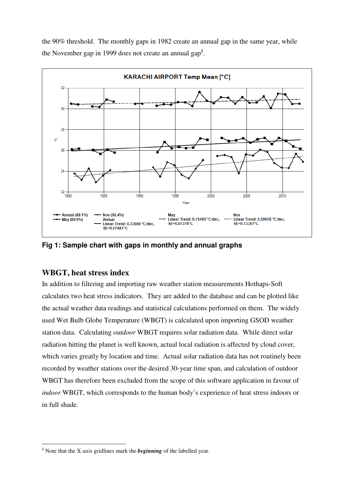



**Fig 1: Sample chart with gaps in monthly and annual graphs** 

### **WBGT, heat stress index**

 $\overline{a}$ 

In addition to filtering and importing raw weather station measurements Hothaps-Soft calculates two heat stress indicators. They are added to the database and can be plotted like the actual weather data readings and statistical calculations performed on them. The widely used Wet Bulb Globe Temperature (WBGT) is calculated upon importing GSOD weather station data. Calculating *outdoor* WBGT requires solar radiation data. While direct solar radiation hitting the planet is well known, actual local radiation is affected by cloud cover, which varies greatly by location and time. Actual solar radiation data has not routinely been recorded by weather stations over the desired 30-year time span, and calculation of outdoor WBGT has therefore been excluded from the scope of this software application in favour of *indoor* WBGT, which corresponds to the human body's experience of heat stress indoors or in full shade.

<sup>§</sup> Note that the X-axis gridlines mark the *beginning* of the labelled year.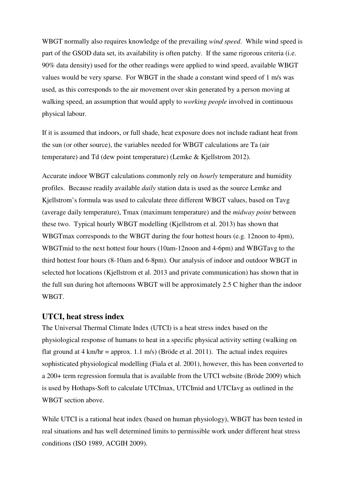WBGT normally also requires knowledge of the prevailing *wind speed*. While wind speed is part of the GSOD data set, its availability is often patchy. If the same rigorous criteria (i.e. 90% data density) used for the other readings were applied to wind speed, available WBGT values would be very sparse. For WBGT in the shade a constant wind speed of 1 m/s was used, as this corresponds to the air movement over skin generated by a person moving at walking speed, an assumption that would apply to *working people* involved in continuous physical labour.

If it is assumed that indoors, or full shade, heat exposure does not include radiant heat from the sun (or other source), the variables needed for WBGT calculations are Ta (air temperature) and Td (dew point temperature) (Lemke & Kjellstrom 2012).

Accurate indoor WBGT calculations commonly rely on *hourly* temperature and humidity profiles. Because readily available *daily* station data is used as the source Lemke and Kjellstrom's formula was used to calculate three different WBGT values, based on Tavg (average daily temperature), Tmax (maximum temperature) and the *midway point* between these two. Typical hourly WBGT modelling (Kjellstrom et al. 2013) has shown that WBGTmax corresponds to the WBGT during the four hottest hours (e.g. 12noon to 4pm), WBGTmid to the next hottest four hours (10am-12noon and 4-6pm) and WBGTavg to the third hottest four hours (8-10am and 6-8pm). Our analysis of indoor and outdoor WBGT in selected hot locations (Kjellstrom et al. 2013 and private communication) has shown that in the full sun during hot afternoons WBGT will be approximately 2.5 C higher than the indoor WBGT.

### **UTCI, heat stress index**

The Universal Thermal Climate Index (UTCI) is a heat stress index based on the physiological response of humans to heat in a specific physical activity setting (walking on flat ground at  $4 \text{ km/hr} = \text{approx. } 1.1 \text{ m/s}$  (Bröde et al. 2011). The actual index requires sophisticated physiological modelling (Fiala et al. 2001), however, this has been converted to a 200+ term regression formula that is available from the UTCI website (Bröde 2009) which is used by Hothaps-Soft to calculate UTCImax, UTCImid and UTCIavg as outlined in the WBGT section above.

While UTCI is a rational heat index (based on human physiology), WBGT has been tested in real situations and has well determined limits to permissible work under different heat stress conditions (ISO 1989, ACGIH 2009).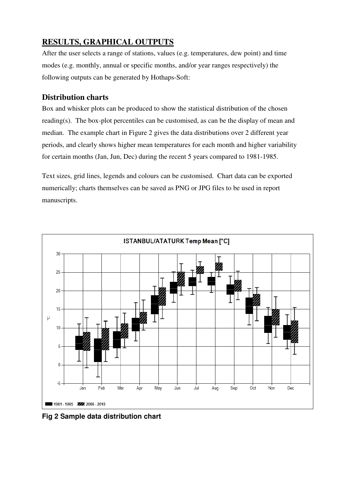# **RESULTS, GRAPHICAL OUTPUTS**

After the user selects a range of stations, values (e.g. temperatures, dew point) and time modes (e.g. monthly, annual or specific months, and/or year ranges respectively) the following outputs can be generated by Hothaps-Soft:

# **Distribution charts**

Box and whisker plots can be produced to show the statistical distribution of the chosen reading(s). The box-plot percentiles can be customised, as can be the display of mean and median. The example chart in Figure 2 gives the data distributions over 2 different year periods, and clearly shows higher mean temperatures for each month and higher variability for certain months (Jan, Jun, Dec) during the recent 5 years compared to 1981-1985.

Text sizes, grid lines, legends and colours can be customised. Chart data can be exported numerically; charts themselves can be saved as PNG or JPG files to be used in report manuscripts.



**Fig 2 Sample data distribution chart**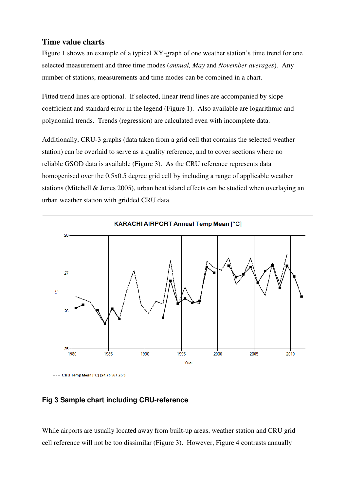# **Time value charts**

Figure 1 shows an example of a typical XY-graph of one weather station's time trend for one selected measurement and three time modes (*annual, May* and *November averages*). Any number of stations, measurements and time modes can be combined in a chart.

Fitted trend lines are optional. If selected, linear trend lines are accompanied by slope coefficient and standard error in the legend (Figure 1). Also available are logarithmic and polynomial trends. Trends (regression) are calculated even with incomplete data.

Additionally, CRU-3 graphs (data taken from a grid cell that contains the selected weather station) can be overlaid to serve as a quality reference, and to cover sections where no reliable GSOD data is available (Figure 3). As the CRU reference represents data homogenised over the 0.5x0.5 degree grid cell by including a range of applicable weather stations (Mitchell & Jones 2005), urban heat island effects can be studied when overlaying an urban weather station with gridded CRU data.



**Fig 3 Sample chart including CRU-reference** 

While airports are usually located away from built-up areas, weather station and CRU grid cell reference will not be too dissimilar (Figure 3). However, Figure 4 contrasts annually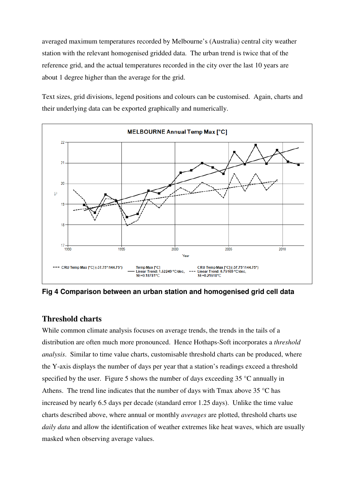averaged maximum temperatures recorded by Melbourne's (Australia) central city weather station with the relevant homogenised gridded data. The urban trend is twice that of the reference grid, and the actual temperatures recorded in the city over the last 10 years are about 1 degree higher than the average for the grid.

Text sizes, grid divisions, legend positions and colours can be customised. Again, charts and their underlying data can be exported graphically and numerically.



**Fig 4 Comparison between an urban station and homogenised grid cell data** 

### **Threshold charts**

While common climate analysis focuses on average trends, the trends in the tails of a distribution are often much more pronounced. Hence Hothaps-Soft incorporates a *threshold analysis*. Similar to time value charts, customisable threshold charts can be produced, where the Y-axis displays the number of days per year that a station's readings exceed a threshold specified by the user. Figure 5 shows the number of days exceeding 35 °C annually in Athens. The trend line indicates that the number of days with Tmax above  $35^{\circ}$ C has increased by nearly 6.5 days per decade (standard error 1.25 days). Unlike the time value charts described above, where annual or monthly *averages* are plotted, threshold charts use *daily data* and allow the identification of weather extremes like heat waves, which are usually masked when observing average values.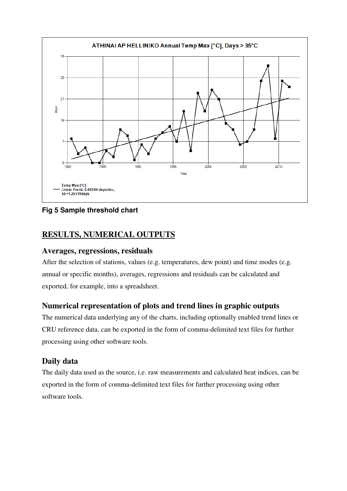

**Fig 5 Sample threshold chart** 

# **RESULTS, NUMERICAL OUTPUTS**

### **Averages, regressions, residuals**

After the selection of stations, values (e.g. temperatures, dew point) and time modes (e.g. annual or specific months), averages, regressions and residuals can be calculated and exported, for example, into a spreadsheet.

# **Numerical representation of plots and trend lines in graphic outputs**

The numerical data underlying any of the charts, including optionally enabled trend lines or CRU reference data, can be exported in the form of comma-delimited text files for further processing using other software tools.

# **Daily data**

The daily data used as the source, i.e. raw measurements and calculated heat indices, can be exported in the form of comma-delimited text files for further processing using other software tools.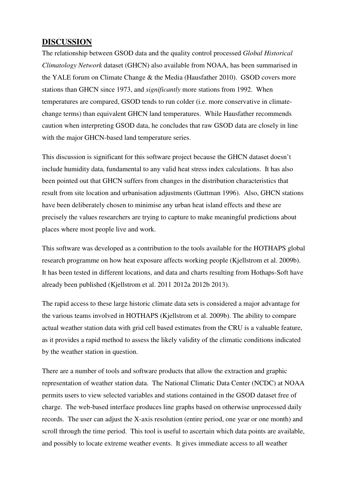### **DISCUSSION**

The relationship between GSOD data and the quality control processed *Global Historical Climatology Network* dataset (GHCN) also available from NOAA, has been summarised in the YALE forum on Climate Change & the Media (Hausfather 2010). GSOD covers more stations than GHCN since 1973, and *significantly* more stations from 1992. When temperatures are compared, GSOD tends to run colder (i.e. more conservative in climatechange terms) than equivalent GHCN land temperatures. While Hausfather recommends caution when interpreting GSOD data, he concludes that raw GSOD data are closely in line with the major GHCN-based land temperature series.

This discussion is significant for this software project because the GHCN dataset doesn't include humidity data, fundamental to any valid heat stress index calculations. It has also been pointed out that GHCN suffers from changes in the distribution characteristics that result from site location and urbanisation adjustments (Guttman 1996). Also, GHCN stations have been deliberately chosen to minimise any urban heat island effects and these are precisely the values researchers are trying to capture to make meaningful predictions about places where most people live and work.

This software was developed as a contribution to the tools available for the HOTHAPS global research programme on how heat exposure affects working people (Kjellstrom et al. 2009b). It has been tested in different locations, and data and charts resulting from Hothaps-Soft have already been published (Kjellstrom et al. 2011 2012a 2012b 2013).

The rapid access to these large historic climate data sets is considered a major advantage for the various teams involved in HOTHAPS (Kjellstrom et al. 2009b). The ability to compare actual weather station data with grid cell based estimates from the CRU is a valuable feature, as it provides a rapid method to assess the likely validity of the climatic conditions indicated by the weather station in question.

There are a number of tools and software products that allow the extraction and graphic representation of weather station data. The National Climatic Data Center (NCDC) at NOAA permits users to view selected variables and stations contained in the GSOD dataset free of charge. The web-based interface produces line graphs based on otherwise unprocessed daily records. The user can adjust the X-axis resolution (entire period, one year or one month) and scroll through the time period. This tool is useful to ascertain which data points are available, and possibly to locate extreme weather events. It gives immediate access to all weather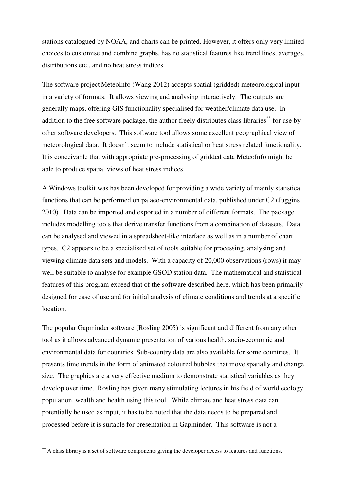stations catalogued by NOAA, and charts can be printed. However, it offers only very limited choices to customise and combine graphs, has no statistical features like trend lines, averages, distributions etc., and no heat stress indices.

The software project MeteoInfo (Wang 2012) accepts spatial (gridded) meteorological input in a variety of formats. It allows viewing and analysing interactively. The outputs are generally maps, offering GIS functionality specialised for weather/climate data use. In addition to the free software package, the author freely distributes class libraries<sup>\*\*</sup> for use by other software developers. This software tool allows some excellent geographical view of meteorological data. It doesn't seem to include statistical or heat stress related functionality. It is conceivable that with appropriate pre-processing of gridded data MeteoInfo might be able to produce spatial views of heat stress indices.

A Windows toolkit was has been developed for providing a wide variety of mainly statistical functions that can be performed on palaeo-environmental data, published under C2 (Juggins 2010). Data can be imported and exported in a number of different formats. The package includes modelling tools that derive transfer functions from a combination of datasets. Data can be analysed and viewed in a spreadsheet-like interface as well as in a number of chart types. C2 appears to be a specialised set of tools suitable for processing, analysing and viewing climate data sets and models. With a capacity of 20,000 observations (rows) it may well be suitable to analyse for example GSOD station data. The mathematical and statistical features of this program exceed that of the software described here, which has been primarily designed for ease of use and for initial analysis of climate conditions and trends at a specific location.

The popular Gapminder software (Rosling 2005) is significant and different from any other tool as it allows advanced dynamic presentation of various health, socio-economic and environmental data for countries. Sub-country data are also available for some countries. It presents time trends in the form of animated coloured bubbles that move spatially and change size. The graphics are a very effective medium to demonstrate statistical variables as they develop over time. Rosling has given many stimulating lectures in his field of world ecology, population, wealth and health using this tool. While climate and heat stress data can potentially be used as input, it has to be noted that the data needs to be prepared and processed before it is suitable for presentation in Gapminder. This software is not a

 $\overline{a}$ 

<sup>\*\*</sup> A class library is a set of software components giving the developer access to features and functions.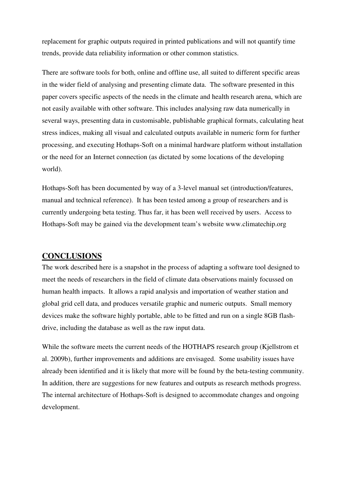replacement for graphic outputs required in printed publications and will not quantify time trends, provide data reliability information or other common statistics.

There are software tools for both, online and offline use, all suited to different specific areas in the wider field of analysing and presenting climate data. The software presented in this paper covers specific aspects of the needs in the climate and health research arena, which are not easily available with other software. This includes analysing raw data numerically in several ways, presenting data in customisable, publishable graphical formats, calculating heat stress indices, making all visual and calculated outputs available in numeric form for further processing, and executing Hothaps-Soft on a minimal hardware platform without installation or the need for an Internet connection (as dictated by some locations of the developing world).

Hothaps-Soft has been documented by way of a 3-level manual set (introduction/features, manual and technical reference). It has been tested among a group of researchers and is currently undergoing beta testing. Thus far, it has been well received by users. Access to Hothaps-Soft may be gained via the development team's website www.climatechip.org

### **CONCLUSIONS**

The work described here is a snapshot in the process of adapting a software tool designed to meet the needs of researchers in the field of climate data observations mainly focussed on human health impacts. It allows a rapid analysis and importation of weather station and global grid cell data, and produces versatile graphic and numeric outputs. Small memory devices make the software highly portable, able to be fitted and run on a single 8GB flashdrive, including the database as well as the raw input data.

While the software meets the current needs of the HOTHAPS research group (Kjellstrom et al. 2009b), further improvements and additions are envisaged. Some usability issues have already been identified and it is likely that more will be found by the beta-testing community. In addition, there are suggestions for new features and outputs as research methods progress. The internal architecture of Hothaps-Soft is designed to accommodate changes and ongoing development.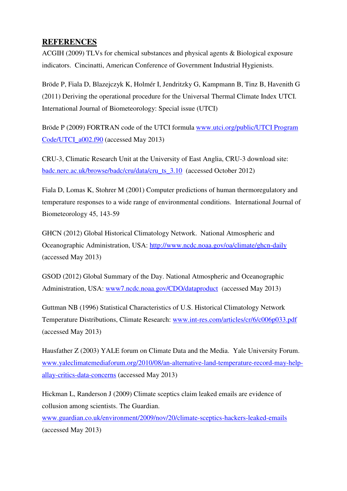# **REFERENCES**

ACGIH (2009) TLVs for chemical substances and physical agents & Biological exposure indicators. Cincinatti, American Conference of Government Industrial Hygienists.

Bröde P, Fiala D, Blazejczyk K, Holmér I, Jendritzky G, Kampmann B, Tinz B, Havenith G (2011) Deriving the operational procedure for the Universal Thermal Climate Index UTCI. International Journal of Biometeorology: Special issue (UTCI)

Bröde P (2009) FORTRAN code of the UTCI formula www.utci.org/public/UTCI Program Code/UTCI\_a002.f90 (accessed May 2013)

CRU-3, Climatic Research Unit at the University of East Anglia, CRU-3 download site: badc.nerc.ac.uk/browse/badc/cru/data/cru\_ts\_3.10 (accessed October 2012)

Fiala D, Lomas K, Stohrer M (2001) Computer predictions of human thermoregulatory and temperature responses to a wide range of environmental conditions. International Journal of Biometeorology 45, 143-59

GHCN (2012) Global Historical Climatology Network. National Atmospheric and Oceanographic Administration, USA: http://www.ncdc.noaa.gov/oa/climate/ghcn-daily (accessed May 2013)

GSOD (2012) Global Summary of the Day. National Atmospheric and Oceanographic Administration, USA: www7.ncdc.noaa.gov/CDO/dataproduct (accessed May 2013)

Guttman NB (1996) Statistical Characteristics of U.S. Historical Climatology Network Temperature Distributions, Climate Research: www.int-res.com/articles/cr/6/c006p033.pdf (accessed May 2013)

Hausfather Z (2003) YALE forum on Climate Data and the Media. Yale University Forum. www.yaleclimatemediaforum.org/2010/08/an-alternative-land-temperature-record-may-helpallay-critics-data-concerns (accessed May 2013)

Hickman L, Randerson J (2009) Climate sceptics claim leaked emails are evidence of collusion among scientists. The Guardian.

www.guardian.co.uk/environment/2009/nov/20/climate-sceptics-hackers-leaked-emails (accessed May 2013)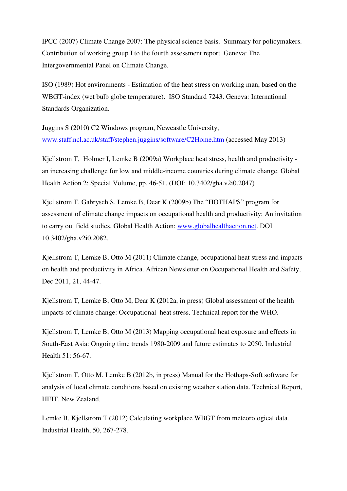IPCC (2007) Climate Change 2007: The physical science basis. Summary for policymakers. Contribution of working group I to the fourth assessment report. Geneva: The Intergovernmental Panel on Climate Change.

ISO (1989) Hot environments - Estimation of the heat stress on working man, based on the WBGT-index (wet bulb globe temperature). ISO Standard 7243. Geneva: International Standards Organization.

Juggins S (2010) C2 Windows program, Newcastle University, www.staff.ncl.ac.uk/staff/stephen.juggins/software/C2Home.htm (accessed May 2013)

Kjellstrom T, Holmer I, Lemke B (2009a) Workplace heat stress, health and productivity an increasing challenge for low and middle-income countries during climate change. Global Health Action 2: Special Volume, pp. 46-51. (DOI: 10.3402/gha.v2i0.2047)

Kjellstrom T, Gabrysch S, Lemke B, Dear K (2009b) The "HOTHAPS" program for assessment of climate change impacts on occupational health and productivity: An invitation to carry out field studies. Global Health Action: www.globalhealthaction.net. DOI 10.3402/gha.v2i0.2082.

Kjellstrom T, Lemke B, Otto M (2011) Climate change, occupational heat stress and impacts on health and productivity in Africa. African Newsletter on Occupational Health and Safety, Dec 2011, 21, 44-47.

Kjellstrom T, Lemke B, Otto M, Dear K (2012a, in press) Global assessment of the health impacts of climate change: Occupational heat stress. Technical report for the WHO.

Kjellstrom T, Lemke B, Otto M (2013) Mapping occupational heat exposure and effects in South-East Asia: Ongoing time trends 1980-2009 and future estimates to 2050. Industrial Health 51: 56-67.

Kjellstrom T, Otto M, Lemke B (2012b, in press) Manual for the Hothaps-Soft software for analysis of local climate conditions based on existing weather station data. Technical Report, HEIT, New Zealand.

Lemke B, Kjellstrom T (2012) Calculating workplace WBGT from meteorological data. Industrial Health, 50, 267-278.